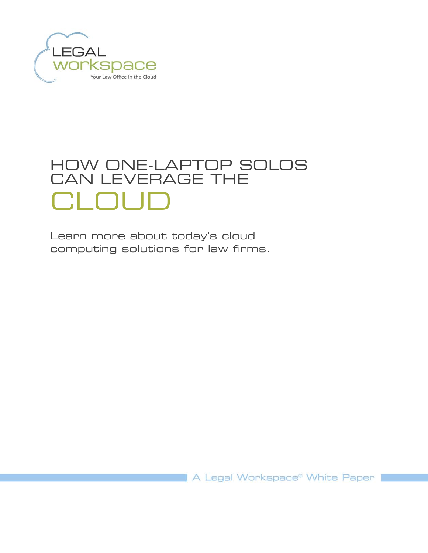

# HOW ONE-LAPTOP SOLOS CAN LEVERAGE THE CLOUD

Learn more about today's cloud computing solutions for law firms.

A Legal Workspace® White Paper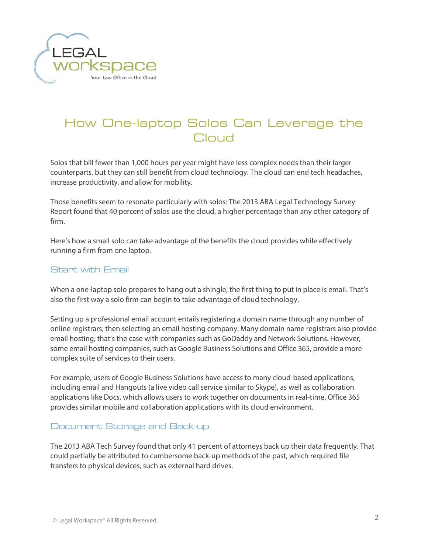

# How One-laptop Solos Can Leverage the Cloud

Solos that bill fewer than 1,000 hours per year might have less complex needs than their larger counterparts, but they can still benefit from cloud technology. The cloud can end tech headaches, increase productivity, and allow for mobility.

Those benefits seem to resonate particularly with solos: The 2013 ABA Legal Technology Survey Report found that 40 percent of solos use the cloud, a higher percentage than any other category of firm.

Here's how a small solo can take advantage of the benefits the cloud provides while effectively running a firm from one laptop.

### Start with Email

When a one-laptop solo prepares to hang out a shingle, the first thing to put in place is email. That's also the first way a solo firm can begin to take advantage of cloud technology.

Setting up a professional email account entails registering a domain name through any number of online registrars, then selecting an email hosting company. Many domain name registrars also provide email hosting; that's the case with companies such as GoDaddy and Network Solutions. However, some email hosting companies, such as Google Business Solutions and Office 365, provide a more complex suite of services to their users.

For example, users of Google Business Solutions have access to many cloud-based applications, including email and Hangouts (a live video call service similar to Skype), as well as collaboration applications like Docs, which allows users to work together on documents in real-time. Office 365 provides similar mobile and collaboration applications with its cloud environment.

#### Document Storage and Back-up

The 2013 ABA Tech Survey found that only 41 percent of attorneys back up their data frequently. That could partially be attributed to cumbersome back-up methods of the past, which required file transfers to physical devices, such as external hard drives.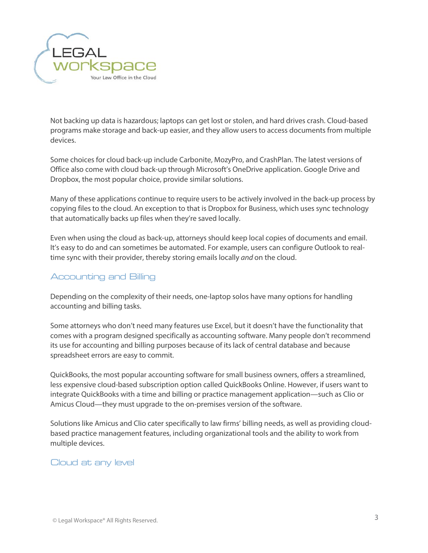

Not backing up data is hazardous; laptops can get lost or stolen, and hard drives crash. Cloud-based programs make storage and back-up easier, and they allow users to access documents from multiple devices.

Some choices for cloud back-up include Carbonite, MozyPro, and CrashPlan. The latest versions of Office also come with cloud back-up through Microsoft's OneDrive application. Google Drive and Dropbox, the most popular choice, provide similar solutions.

Many of these applications continue to require users to be actively involved in the back-up process by copying files to the cloud. An exception to that is Dropbox for Business, which uses sync technology that automatically backs up files when they're saved locally.

Even when using the cloud as back-up, attorneys should keep local copies of documents and email. It's easy to do and can sometimes be automated. For example, users can configure Outlook to realtime sync with their provider, thereby storing emails locally *and* on the cloud.

## Accounting and Billing

Depending on the complexity of their needs, one-laptop solos have many options for handling accounting and billing tasks.

Some attorneys who don't need many features use Excel, but it doesn't have the functionality that comes with a program designed specifically as accounting software. Many people don't recommend its use for accounting and billing purposes because of its lack of central database and because spreadsheet errors are easy to commit.

QuickBooks, the most popular accounting software for small business owners, offers a streamlined, less expensive cloud-based subscription option called QuickBooks Online. However, if users want to integrate QuickBooks with a time and billing or practice management application—such as Clio or Amicus Cloud—they must upgrade to the on-premises version of the software.

Solutions like Amicus and Clio cater specifically to law firms' billing needs, as well as providing cloudbased practice management features, including organizational tools and the ability to work from multiple devices.

#### Cloud at any level